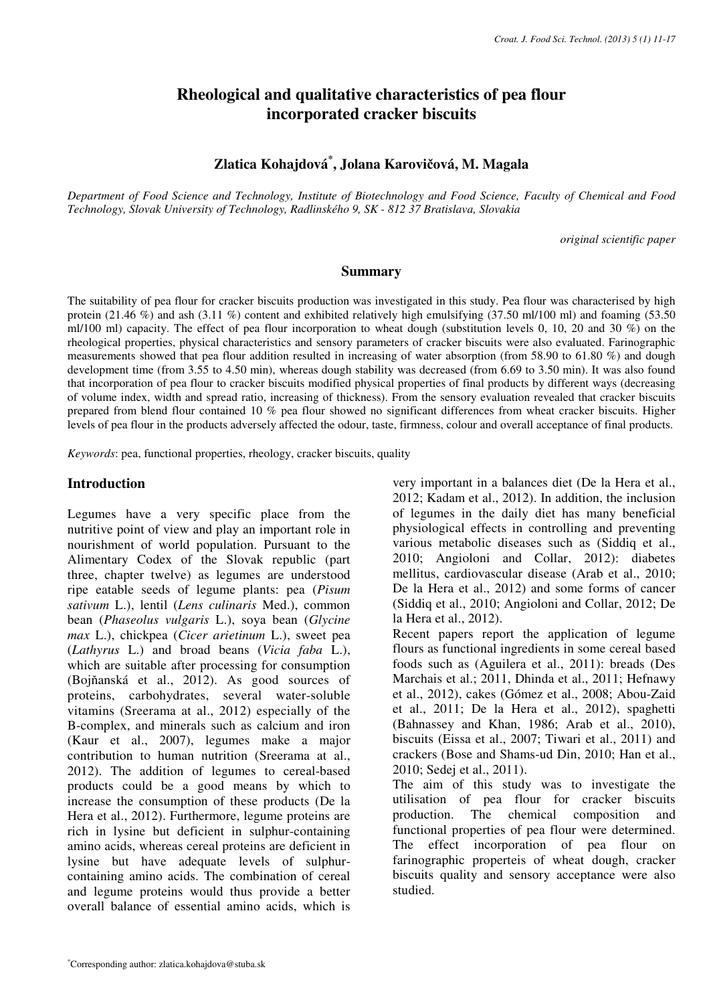# **Rheological and qualitative characteristics of pea flour incorporated cracker biscuits**

**Zlatica Kohajdová\* , Jolana Karovi**č**ová, M. Magala** 

*Department of Food Science and Technology, Institute of Biotechnology and Food Science, Faculty of Chemical and Food Technology, Slovak University of Technology, Radlinského 9, SK - 812 37 Bratislava, Slovakia* 

*original scientific paper*

#### **Summary**

The suitability of pea flour for cracker biscuits production was investigated in this study. Pea flour was characterised by high protein (21.46 %) and ash (3.11 %) content and exhibited relatively high emulsifying (37.50 ml/100 ml) and foaming (53.50 ml/100 ml) capacity. The effect of pea flour incorporation to wheat dough (substitution levels 0, 10, 20 and 30 %) on the rheological properties, physical characteristics and sensory parameters of cracker biscuits were also evaluated. Farinographic measurements showed that pea flour addition resulted in increasing of water absorption (from 58.90 to 61.80 %) and dough development time (from 3.55 to 4.50 min), whereas dough stability was decreased (from 6.69 to 3.50 min). It was also found that incorporation of pea flour to cracker biscuits modified physical properties of final products by different ways (decreasing of volume index, width and spread ratio, increasing of thickness). From the sensory evaluation revealed that cracker biscuits prepared from blend flour contained 10 % pea flour showed no significant differences from wheat cracker biscuits. Higher levels of pea flour in the products adversely affected the odour, taste, firmness, colour and overall acceptance of final products.

*Keywords*: pea, functional properties, rheology, cracker biscuits, quality

#### **Introduction**

Legumes have a very specific place from the nutritive point of view and play an important role in nourishment of world population. Pursuant to the Alimentary Codex of the Slovak republic (part three, chapter twelve) as legumes are understood ripe eatable seeds of legume plants: pea (*Pisum sativum* L.), lentil (*Lens culinaris* Med.), common bean (*Phaseolus vulgaris* L.), soya bean (*Glycine max* L.), chickpea (*Cicer arietinum* L.), sweet pea (*Lathyrus* L.) and broad beans (*Vicia faba* L.), which are suitable after processing for consumption (Bojňanská et al., 2012). As good sources of proteins, carbohydrates, several water-soluble vitamins (Sreerama at al., 2012) especially of the B-complex, and minerals such as calcium and iron (Kaur et al., 2007), legumes make a major contribution to human nutrition (Sreerama at al., 2012). The addition of legumes to cereal-based products could be a good means by which to increase the consumption of these products (De la Hera et al., 2012). Furthermore, legume proteins are rich in lysine but deficient in sulphur-containing amino acids, whereas cereal proteins are deficient in lysine but have adequate levels of sulphurcontaining amino acids. The combination of cereal and legume proteins would thus provide a better overall balance of essential amino acids, which is very important in a balances diet (De la Hera et al., 2012; Kadam et al., 2012). In addition, the inclusion of legumes in the daily diet has many beneficial physiological effects in controlling and preventing various metabolic diseases such as (Siddiq et al., 2010; Angioloni and Collar, 2012): diabetes mellitus, cardiovascular disease (Arab et al., 2010; De la Hera et al., 2012) and some forms of cancer (Siddiq et al., 2010; Angioloni and Collar, 2012; De la Hera et al., 2012).

Recent papers report the application of legume flours as functional ingredients in some cereal based foods such as (Aguilera et al., 2011): breads (Des Marchais et al.; 2011, Dhinda et al., 2011; Hefnawy et al., 2012), cakes (Gómez et al., 2008; Abou-Zaid et al., 2011; De la Hera et al., 2012), spaghetti (Bahnassey and Khan, 1986; Arab et al., 2010), biscuits (Eissa et al., 2007; Tiwari et al., 2011) and crackers (Bose and Shams-ud Din, 2010; Han et al., 2010; Sedej et al., 2011).

The aim of this study was to investigate the utilisation of pea flour for cracker biscuits production. The chemical composition and functional properties of pea flour were determined. The effect incorporation of pea flour on farinographic properteis of wheat dough, cracker biscuits quality and sensory acceptance were also studied.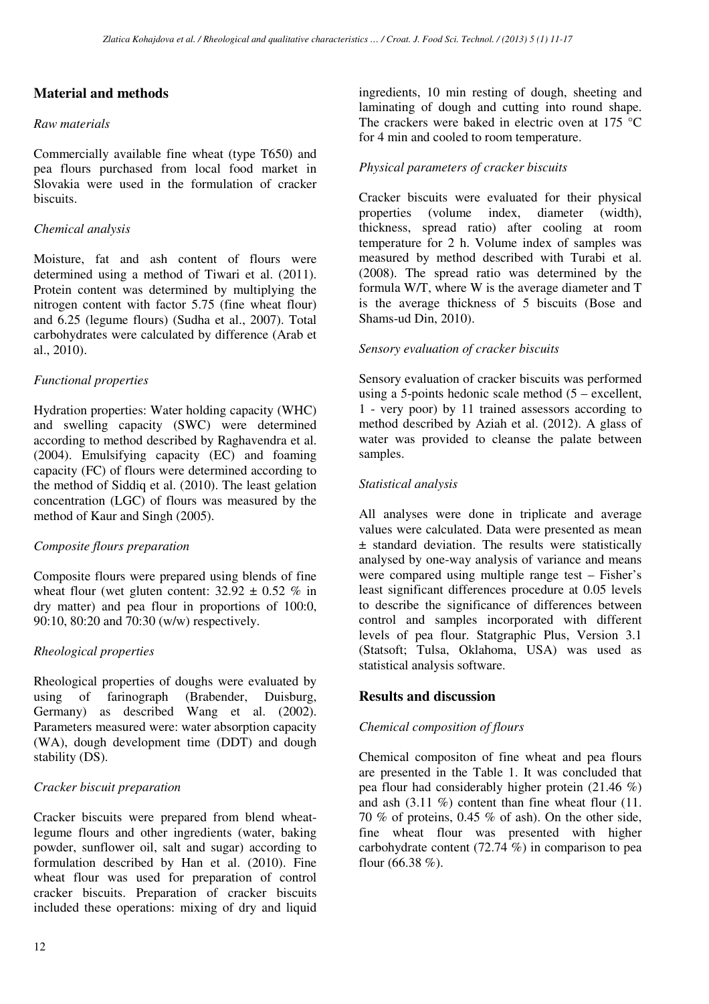# **Material and methods**

### *Raw materials*

Commercially available fine wheat (type T650) and pea flours purchased from local food market in Slovakia were used in the formulation of cracker biscuits.

## *Chemical analysis*

Moisture, fat and ash content of flours were determined using a method of Tiwari et al. (2011). Protein content was determined by multiplying the nitrogen content with factor 5.75 (fine wheat flour) and 6.25 (legume flours) (Sudha et al., 2007). Total carbohydrates were calculated by difference (Arab et al., 2010).

### *Functional properties*

Hydration properties: Water holding capacity (WHC) and swelling capacity (SWC) were determined according to method described by Raghavendra et al. (2004). Emulsifying capacity (EC) and foaming capacity (FC) of flours were determined according to the method of Siddiq et al. (2010). The least gelation concentration (LGC) of flours was measured by the method of Kaur and Singh (2005).

# *Composite flours preparation*

Composite flours were prepared using blends of fine wheat flour (wet gluten content:  $32.92 \pm 0.52$  % in dry matter) and pea flour in proportions of 100:0, 90:10, 80:20 and 70:30 (w/w) respectively.

# *Rheological properties*

Rheological properties of doughs were evaluated by using of farinograph (Brabender, Duisburg, Germany) as described Wang et al. (2002). Parameters measured were: water absorption capacity (WA), dough development time (DDT) and dough stability (DS).

### *Cracker biscuit preparation*

Cracker biscuits were prepared from blend wheatlegume flours and other ingredients (water, baking powder, sunflower oil, salt and sugar) according to formulation described by Han et al. (2010). Fine wheat flour was used for preparation of control cracker biscuits. Preparation of cracker biscuits included these operations: mixing of dry and liquid

ingredients, 10 min resting of dough, sheeting and laminating of dough and cutting into round shape. The crackers were baked in electric oven at 175 °C for 4 min and cooled to room temperature.

### *Physical parameters of cracker biscuits*

Cracker biscuits were evaluated for their physical properties (volume index, diameter (width), thickness, spread ratio) after cooling at room temperature for 2 h. Volume index of samples was measured by method described with Turabi et al. (2008). The spread ratio was determined by the formula W/T, where W is the average diameter and T is the average thickness of 5 biscuits (Bose and Shams-ud Din, 2010).

### *Sensory evaluation of cracker biscuits*

Sensory evaluation of cracker biscuits was performed using a 5-points hedonic scale method (5 – excellent, 1 - very poor) by 11 trained assessors according to method described by Aziah et al. (2012). A glass of water was provided to cleanse the palate between samples.

### *Statistical analysis*

All analyses were done in triplicate and average values were calculated. Data were presented as mean ± standard deviation. The results were statistically analysed by one-way analysis of variance and means were compared using multiple range test – Fisher's least significant differences procedure at 0.05 levels to describe the significance of differences between control and samples incorporated with different levels of pea flour. Statgraphic Plus, Version 3.1 (Statsoft; Tulsa, Oklahoma, USA) was used as statistical analysis software.

# **Results and discussion**

### *Chemical composition of flours*

Chemical compositon of fine wheat and pea flours are presented in the Table 1. It was concluded that pea flour had considerably higher protein (21.46 %) and ash  $(3.11\%)$  content than fine wheat flour  $(11.1)$ 70 % of proteins, 0.45 % of ash). On the other side, fine wheat flour was presented with higher carbohydrate content (72.74 %) in comparison to pea flour  $(66.38\%).$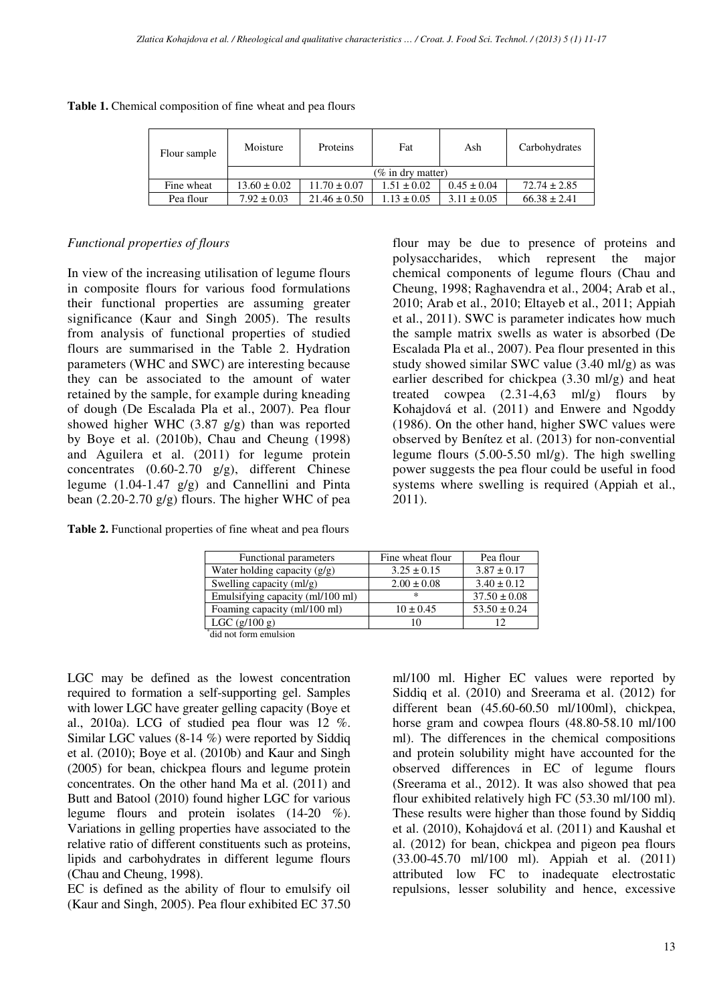| Flour sample | Moisture             | Proteins         | Fat             | Ash             | Carbohydrates    |  |
|--------------|----------------------|------------------|-----------------|-----------------|------------------|--|
|              | $(\%$ in dry matter) |                  |                 |                 |                  |  |
| Fine wheat   | $13.60 \pm 0.02$     | $11.70 \pm 0.07$ | $1.51 \pm 0.02$ | $0.45 \pm 0.04$ | $72.74 \pm 2.85$ |  |
| Pea flour    | $7.92 \pm 0.03$      | $21.46 \pm 0.50$ | $1.13 \pm 0.05$ | $3.11 \pm 0.05$ | $66.38 \pm 2.41$ |  |

**Table 1.** Chemical composition of fine wheat and pea flours

#### *Functional properties of flours*

In view of the increasing utilisation of legume flours in composite flours for various food formulations their functional properties are assuming greater significance (Kaur and Singh 2005). The results from analysis of functional properties of studied flours are summarised in the Table 2. Hydration parameters (WHC and SWC) are interesting because they can be associated to the amount of water retained by the sample, for example during kneading of dough (De Escalada Pla et al., 2007). Pea flour showed higher WHC (3.87 g/g) than was reported by Boye et al. (2010b), Chau and Cheung (1998) and Aguilera et al. (2011) for legume protein concentrates (0.60-2.70 g/g), different Chinese legume (1.04-1.47 g/g) and Cannellini and Pinta bean (2.20-2.70 g/g) flours. The higher WHC of pea

**Table 2.** Functional properties of fine wheat and pea flours

flour may be due to presence of proteins and polysaccharides, which represent the major chemical components of legume flours (Chau and Cheung, 1998; Raghavendra et al., 2004; Arab et al., 2010; Arab et al., 2010; Eltayeb et al., 2011; Appiah et al., 2011). SWC is parameter indicates how much the sample matrix swells as water is absorbed (De Escalada Pla et al., 2007). Pea flour presented in this study showed similar SWC value (3.40 ml/g) as was earlier described for chickpea (3.30 ml/g) and heat treated cowpea  $(2.31-4.63 \text{ ml/g})$  flours by Kohajdová et al. (2011) and Enwere and Ngoddy (1986). On the other hand, higher SWC values were observed by Benítez et al. (2013) for non-convential legume flours  $(5.00-5.50 \text{ ml/g})$ . The high swelling power suggests the pea flour could be useful in food systems where swelling is required (Appiah et al., 2011).

| Functional parameters            | Fine wheat flour | Pea flour        |
|----------------------------------|------------------|------------------|
| Water holding capacity $(g/g)$   | $3.25 \pm 0.15$  | $3.87 \pm 0.17$  |
| Swelling capacity $(ml/g)$       | $2.00 \pm 0.08$  | $3.40 \pm 0.12$  |
| Emulsifying capacity (ml/100 ml) | $\ast$           | $37.50 \pm 0.08$ |
| Foaming capacity (ml/100 ml)     | $10 \pm 0.45$    | $53.50 \pm 0.24$ |
| $LGC$ (g/100 g)                  | 10               | 12               |
| did not form emulsion            |                  |                  |

LGC may be defined as the lowest concentration required to formation a self-supporting gel. Samples with lower LGC have greater gelling capacity (Boye et al., 2010a). LCG of studied pea flour was 12 %. Similar LGC values (8-14 %) were reported by Siddiq et al. (2010); Boye et al. (2010b) and Kaur and Singh (2005) for bean, chickpea flours and legume protein concentrates. On the other hand Ma et al. (2011) and Butt and Batool (2010) found higher LGC for various legume flours and protein isolates (14-20 %). Variations in gelling properties have associated to the relative ratio of different constituents such as proteins, lipids and carbohydrates in different legume flours (Chau and Cheung, 1998).

EC is defined as the ability of flour to emulsify oil (Kaur and Singh, 2005). Pea flour exhibited EC 37.50 ml/100 ml. Higher EC values were reported by Siddiq et al. (2010) and Sreerama et al. (2012) for different bean (45.60-60.50 ml/100ml), chickpea, horse gram and cowpea flours  $(48.80-58.10 \text{ ml}/100$ ml). The differences in the chemical compositions and protein solubility might have accounted for the observed differences in EC of legume flours (Sreerama et al., 2012). It was also showed that pea flour exhibited relatively high FC (53.30 ml/100 ml). These results were higher than those found by Siddiq et al. (2010), Kohajdová et al. (2011) and Kaushal et al. (2012) for bean, chickpea and pigeon pea flours (33.00-45.70 ml/100 ml). Appiah et al. (2011) attributed low FC to inadequate electrostatic repulsions, lesser solubility and hence, excessive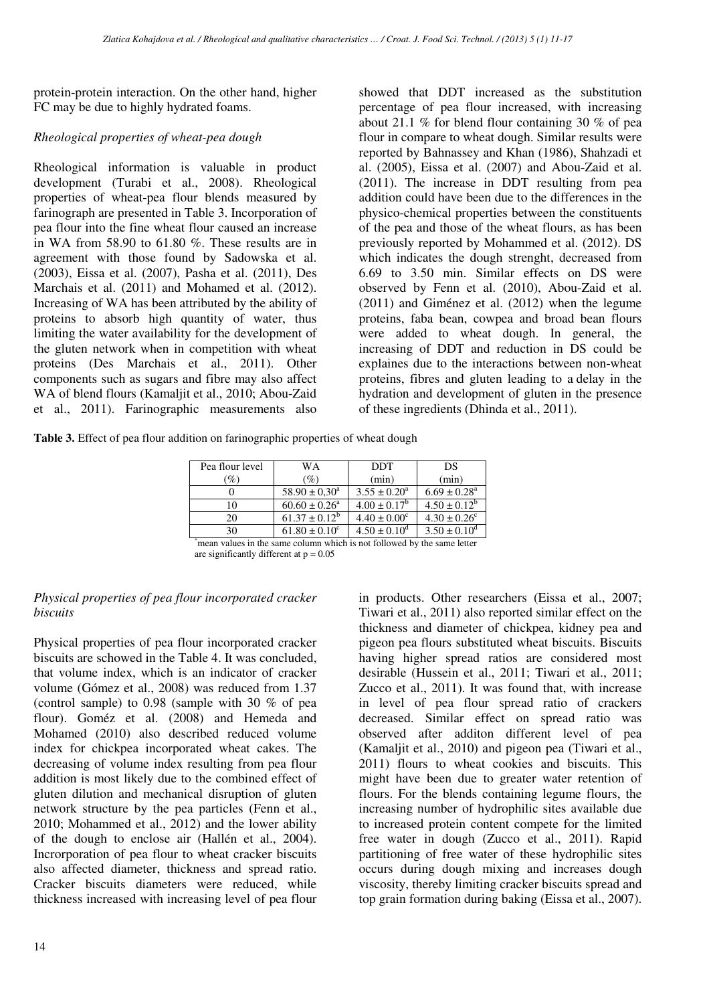protein-protein interaction. On the other hand, higher FC may be due to highly hydrated foams.

### *Rheological properties of wheat-pea dough*

Rheological information is valuable in product development (Turabi et al., 2008). Rheological properties of wheat-pea flour blends measured by farinograph are presented in Table 3. Incorporation of pea flour into the fine wheat flour caused an increase in WA from 58.90 to 61.80 %. These results are in agreement with those found by Sadowska et al. (2003), Eissa et al. (2007), Pasha et al. (2011), Des Marchais et al. (2011) and Mohamed et al. (2012). Increasing of WA has been attributed by the ability of proteins to absorb high quantity of water, thus limiting the water availability for the development of the gluten network when in competition with wheat proteins (Des Marchais et al., 2011). Other components such as sugars and fibre may also affect WA of blend flours (Kamaljit et al., 2010; Abou-Zaid et al., 2011). Farinographic measurements also

showed that DDT increased as the substitution percentage of pea flour increased, with increasing about 21.1 % for blend flour containing 30 % of pea flour in compare to wheat dough. Similar results were reported by Bahnassey and Khan (1986), Shahzadi et al. (2005), Eissa et al. (2007) and Abou-Zaid et al. (2011). The increase in DDT resulting from pea addition could have been due to the differences in the physico-chemical properties between the constituents of the pea and those of the wheat flours, as has been previously reported by Mohammed et al. (2012). DS which indicates the dough strenght, decreased from 6.69 to 3.50 min. Similar effects on DS were observed by Fenn et al. (2010), Abou-Zaid et al. (2011) and Giménez et al. (2012) when the legume proteins, faba bean, cowpea and broad bean flours were added to wheat dough. In general, the increasing of DDT and reduction in DS could be explaines due to the interactions between non-wheat proteins, fibres and gluten leading to a delay in the hydration and development of gluten in the presence of these ingredients (Dhinda et al., 2011).

**Table 3.** Effect of pea flour addition on farinographic properties of wheat dough

| Pea flour level | WA                       | <b>DDT</b>              | DS                           |
|-----------------|--------------------------|-------------------------|------------------------------|
| $\mathscr{D}_o$ | $\mathcal{O}_0$          | (min)                   | (min)                        |
|                 | $58.90 \pm 0.30^{\circ}$ | $3.55 \pm 0.20^{\circ}$ | $6.69 \pm 0.28$ <sup>a</sup> |
| 10              | $60.60 \pm 0.26^{\circ}$ | $4.00 \pm 0.17^b$       | $4.50 \pm 0.12^b$            |
| 20              | $61.37 \pm 0.12^b$       | $4.40 \pm 0.00^{\circ}$ | $4.30 \pm 0.26$ <sup>c</sup> |
| 30              | $61.80 \pm 0.10^{\circ}$ | $4.50 \pm 0.10^{\circ}$ | $3.50 \pm 0.10^{\circ}$      |

\*mean values in the same column which is not followed by the same letter are significantly different at  $p = 0.05$ 

### *Physical properties of pea flour incorporated cracker biscuits*

Physical properties of pea flour incorporated cracker biscuits are schowed in the Table 4. It was concluded, that volume index, which is an indicator of cracker volume (Gómez et al., 2008) was reduced from 1.37 (control sample) to 0.98 (sample with 30 % of pea flour). Goméz et al. (2008) and Hemeda and Mohamed (2010) also described reduced volume index for chickpea incorporated wheat cakes. The decreasing of volume index resulting from pea flour addition is most likely due to the combined effect of gluten dilution and mechanical disruption of gluten network structure by the pea particles (Fenn et al., 2010; Mohammed et al.,  $2012$ ) and the lower ability of the dough to enclose air (Hallén et al., 2004). Incrorporation of pea flour to wheat cracker biscuits also affected diameter, thickness and spread ratio. Cracker biscuits diameters were reduced, while thickness increased with increasing level of pea flour

in products. Other researchers (Eissa et al., 2007; Tiwari et al., 2011) also reported similar effect on the thickness and diameter of chickpea, kidney pea and pigeon pea flours substituted wheat biscuits. Biscuits having higher spread ratios are considered most desirable (Hussein et al., 2011; Tiwari et al., 2011; Zucco et al., 2011). It was found that, with increase in level of pea flour spread ratio of crackers decreased. Similar effect on spread ratio was observed after additon different level of pea (Kamaljit et al., 2010) and pigeon pea (Tiwari et al., 2011) flours to wheat cookies and biscuits. This might have been due to greater water retention of flours. For the blends containing legume flours, the increasing number of hydrophilic sites available due to increased protein content compete for the limited free water in dough (Zucco et al., 2011). Rapid partitioning of free water of these hydrophilic sites occurs during dough mixing and increases dough viscosity, thereby limiting cracker biscuits spread and top grain formation during baking (Eissa et al., 2007).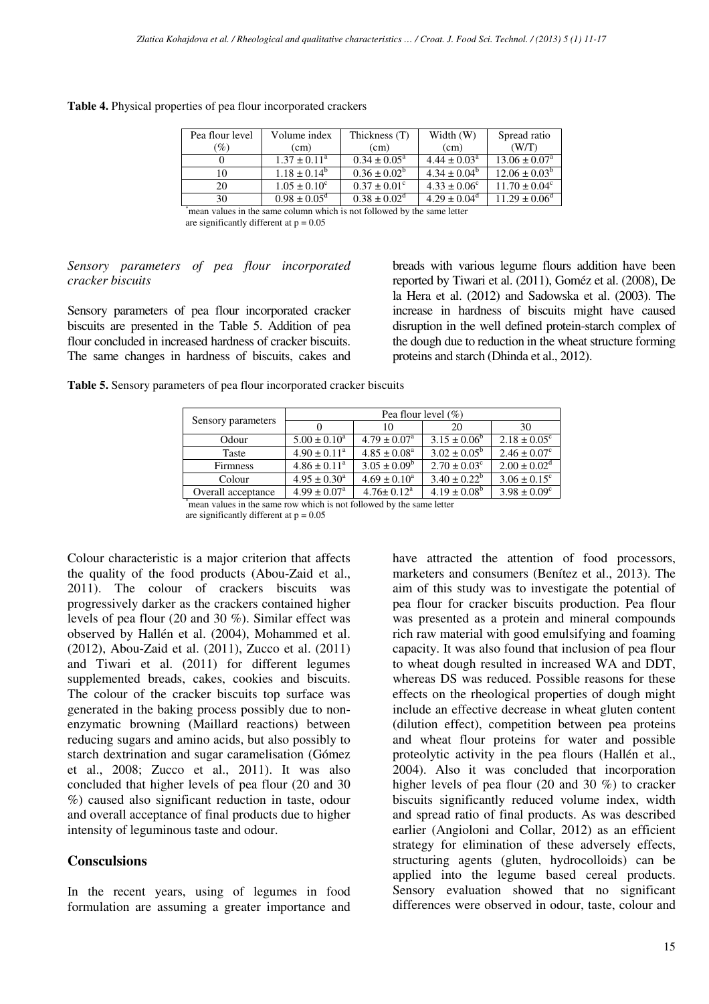| Table 4. Physical properties of pea flour incorporated crackers |  |  |  |  |  |
|-----------------------------------------------------------------|--|--|--|--|--|
|-----------------------------------------------------------------|--|--|--|--|--|

| Pea flour level | Volume index            | Thickness (T)              | Width (W)               | Spread ratio             |
|-----------------|-------------------------|----------------------------|-------------------------|--------------------------|
| $\mathscr{G}_o$ | (cm)                    | (cm)                       | (c <sub>m</sub> )       | (W/T)                    |
|                 | $1.37 \pm 0.11^{\circ}$ | $0.34 \pm 0.05^{\circ}$    | $4.44 \pm 0.03^{\circ}$ | $13.06 \pm 0.07^{\circ}$ |
|                 | $1.18 \pm 0.14^b$       | $0.36 \pm 0.02^b$          | $4.34 \pm 0.04^b$       | $12.06 \pm 0.03^b$       |
| 20              | $1.05 \pm 0.10^{\circ}$ | $0.37 \pm 0.01^{\circ}$    | $4.33 \pm 0.06^{\circ}$ | $11.70 \pm 0.04^{\circ}$ |
| 30              | $0.98 \pm 0.05^{\circ}$ | $0.38 \pm 0.02^{\text{d}}$ | $4.29 \pm 0.04^{\circ}$ | $11.29 \pm 0.06^{\circ}$ |

\*mean values in the same column which is not followed by the same letter are significantly different at  $p = 0.05$ 

#### *Sensory parameters of pea flour incorporated cracker biscuits*

Sensory parameters of pea flour incorporated cracker biscuits are presented in the Table 5. Addition of pea flour concluded in increased hardness of cracker biscuits. The same changes in hardness of biscuits, cakes and breads with various legume flours addition have been reported by Tiwari et al. (2011), Goméz et al. (2008), De la Hera et al. (2012) and Sadowska et al. (2003). The increase in hardness of biscuits might have caused disruption in the well defined protein-starch complex of the dough due to reduction in the wheat structure forming proteins and starch (Dhinda et al., 2012).

**Table 5.** Sensory parameters of pea flour incorporated cracker biscuits

|                    | Pea flour level $(\%)$       |                         |                         |                         |
|--------------------|------------------------------|-------------------------|-------------------------|-------------------------|
| Sensory parameters |                              | 10                      | 20                      | 30                      |
| Odour              | $5.00 \pm 0.10^a$            | $4.79 \pm 0.07^{\circ}$ | $3.15 \pm 0.06^b$       | $2.18 \pm 0.05^{\circ}$ |
| Taste              | $4.90 \pm 0.11^a$            | $4.85 \pm 0.08^{\circ}$ | $3.02 \pm 0.05^{\rm b}$ | $2.46 \pm 0.07^c$       |
| <b>Firmness</b>    | $4.86 \pm 0.11^a$            | $3.05 \pm 0.09^b$       | $2.70 \pm 0.03^{\circ}$ | $2.00 \pm 0.02^d$       |
| Colour             | $4.95 \pm 0.30^a$            | $4.69 \pm 0.10^a$       | $3.40 \pm 0.22^b$       | $3.06 \pm 0.15^{\circ}$ |
| Overall acceptance | $4.99 \pm 0.07$ <sup>a</sup> | $4.76 \pm 0.12^a$       | $4.19 \pm 0.08^b$       | $3.98 \pm 0.09^{\circ}$ |

\*mean values in the same row which is not followed by the same letter are significantly different at  $p = 0.05$ 

Colour characteristic is a major criterion that affects the quality of the food products (Abou-Zaid et al., 2011). The colour of crackers biscuits was progressively darker as the crackers contained higher levels of pea flour (20 and 30 %). Similar effect was observed by Hallén et al. (2004), Mohammed et al. (2012), Abou-Zaid et al. (2011), Zucco et al. (2011) and Tiwari et al. (2011) for different legumes supplemented breads, cakes, cookies and biscuits. The colour of the cracker biscuits top surface was generated in the baking process possibly due to nonenzymatic browning (Maillard reactions) between reducing sugars and amino acids, but also possibly to starch dextrination and sugar caramelisation (Gómez et al., 2008; Zucco et al., 2011). It was also concluded that higher levels of pea flour (20 and 30 %) caused also significant reduction in taste, odour and overall acceptance of final products due to higher intensity of leguminous taste and odour.

#### **Consculsions**

In the recent years, using of legumes in food formulation are assuming a greater importance and have attracted the attention of food processors, marketers and consumers (Benítez et al., 2013). The aim of this study was to investigate the potential of pea flour for cracker biscuits production. Pea flour was presented as a protein and mineral compounds rich raw material with good emulsifying and foaming capacity. It was also found that inclusion of pea flour to wheat dough resulted in increased WA and DDT, whereas DS was reduced. Possible reasons for these effects on the rheological properties of dough might include an effective decrease in wheat gluten content (dilution effect), competition between pea proteins and wheat flour proteins for water and possible proteolytic activity in the pea flours (Hallén et al., 2004). Also it was concluded that incorporation higher levels of pea flour (20 and 30 %) to cracker biscuits significantly reduced volume index, width and spread ratio of final products. As was described earlier (Angioloni and Collar, 2012) as an efficient strategy for elimination of these adversely effects, structuring agents (gluten, hydrocolloids) can be applied into the legume based cereal products. Sensory evaluation showed that no significant differences were observed in odour, taste, colour and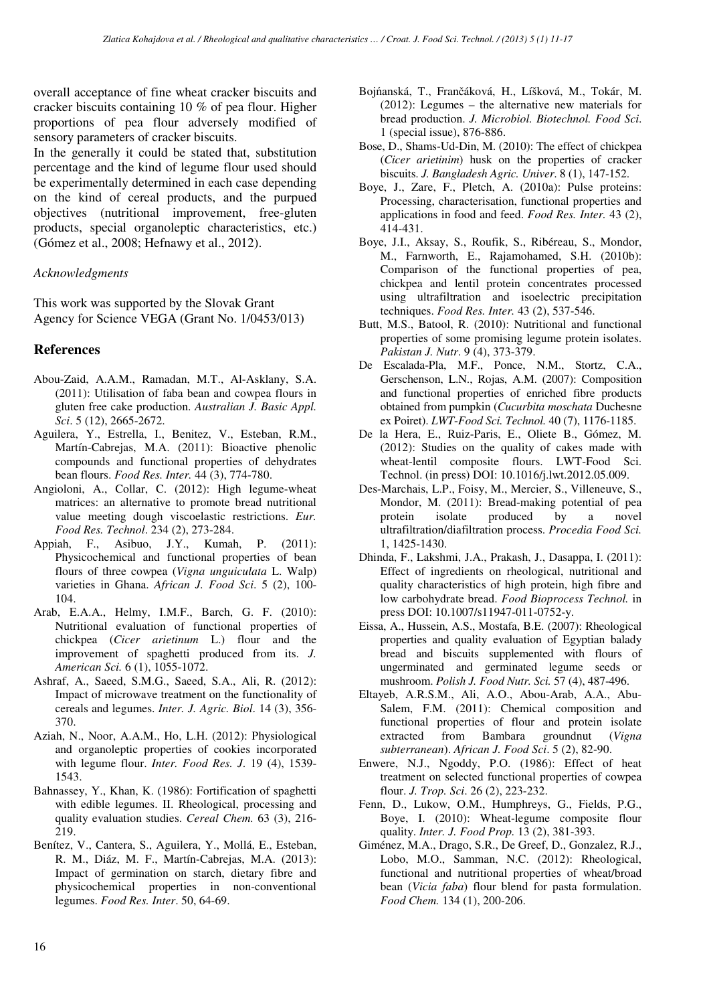overall acceptance of fine wheat cracker biscuits and cracker biscuits containing 10 % of pea flour. Higher proportions of pea flour adversely modified of sensory parameters of cracker biscuits.

In the generally it could be stated that, substitution percentage and the kind of legume flour used should be experimentally determined in each case depending on the kind of cereal products, and the purpued objectives (nutritional improvement, free-gluten products, special organoleptic characteristics, etc.) (Gómez et al., 2008; Hefnawy et al., 2012).

#### *Acknowledgments*

This work was supported by the Slovak Grant Agency for Science VEGA (Grant No. 1/0453/013)

#### **References**

- Abou-Zaid, A.A.M., Ramadan, M.T., Al-Asklany, S.A. (2011): Utilisation of faba bean and cowpea flours in gluten free cake production. *Australian J. Basic Appl. Sci*. 5 (12), 2665-2672.
- Aguilera, Y., Estrella, I., Benitez, V., Esteban, R.M., Martín-Cabrejas, M.A. (2011): Bioactive phenolic compounds and functional properties of dehydrates bean flours. *Food Res. Inter.* 44 (3), 774-780.
- Angioloni, A., Collar, C. (2012): High legume-wheat matrices: an alternative to promote bread nutritional value meeting dough viscoelastic restrictions. *Eur. Food Res. Technol*. 234 (2), 273-284.
- Appiah, F., Asibuo, J.Y., Kumah, P. (2011): Physicochemical and functional properties of bean flours of three cowpea (*Vigna unguiculata* L. Walp) varieties in Ghana. *African J. Food Sci*. 5 (2), 100- 104.
- Arab, E.A.A., Helmy, I.M.F., Barch, G. F. (2010): Nutritional evaluation of functional properties of chickpea (*Cicer arietinum* L.) flour and the improvement of spaghetti produced from its. *J. American Sci.* 6 (1), 1055-1072.
- Ashraf, A., Saeed, S.M.G., Saeed, S.A., Ali, R. (2012): Impact of microwave treatment on the functionality of cereals and legumes. *Inter. J. Agric. Biol*. 14 (3), 356- 370.
- Aziah, N., Noor, A.A.M., Ho, L.H. (2012): Physiological and organoleptic properties of cookies incorporated with legume flour. *Inter. Food Res. J*. 19 (4), 1539- 1543.
- Bahnassey, Y., Khan, K. (1986): Fortification of spaghetti with edible legumes. II. Rheological, processing and quality evaluation studies. *Cereal Chem.* 63 (3), 216- 219.
- Benítez, V., Cantera, S., Aguilera, Y., Mollá, E., Esteban, R. M., Diáz, M. F., Martín-Cabrejas, M.A. (2013): Impact of germination on starch, dietary fibre and physicochemical properties in non-conventional legumes. *Food Res. Inter*. 50, 64-69.
- Bojńanská, T., Frančáková, H., Líšková, M., Tokár, M. (2012): Legumes – the alternative new materials for bread production. *J. Microbiol. Biotechnol. Food Sci*. 1 (special issue), 876-886.
- Bose, D., Shams-Ud-Din, M. (2010): The effect of chickpea (*Cicer arietinim*) husk on the properties of cracker biscuits. *J. Bangladesh Agric. Univer*. 8 (1), 147-152.
- Boye, J., Zare, F., Pletch, A. (2010a): Pulse proteins: Processing, characterisation, functional properties and applications in food and feed. *Food Res. Inter.* 43 (2), 414-431.
- Boye, J.I., Aksay, S., Roufik, S., Ribéreau, S., Mondor, M., Farnworth, E., Rajamohamed, S.H. (2010b): Comparison of the functional properties of pea, chickpea and lentil protein concentrates processed using ultrafiltration and isoelectric precipitation techniques. *Food Res. Inter.* 43 (2), 537-546.
- Butt, M.S., Batool, R. (2010): Nutritional and functional properties of some promising legume protein isolates. *Pakistan J. Nutr*. 9 (4), 373-379.
- De Escalada-Pla, M.F., Ponce, N.M., Stortz, C.A., Gerschenson, L.N., Rojas, A.M. (2007): Composition and functional properties of enriched fibre products obtained from pumpkin (*Cucurbita moschata* Duchesne ex Poiret). *LWT*-*Food Sci. Technol.* 40 (7), 1176-1185.
- De la Hera, E., Ruiz-Paris, E., Oliete B., Gómez, M. (2012): Studies on the quality of cakes made with wheat-lentil composite flours. LWT-Food Sci. Technol. (in press) DOI: 10.1016/j.lwt.2012.05.009.
- Des-Marchais, L.P., Foisy, M., Mercier, S., Villeneuve, S., Mondor, M. (2011): Bread-making potential of pea protein isolate produced by a novel ultrafiltration/diafiltration process. *Procedia Food Sci.* 1, 1425-1430.
- Dhinda, F., Lakshmi, J.A., Prakash, J., Dasappa, I. (2011): Effect of ingredients on rheological, nutritional and quality characteristics of high protein, high fibre and low carbohydrate bread. *Food Bioprocess Technol.* in press DOI: 10.1007/s11947-011-0752-y.
- Eissa, A., Hussein, A.S., Mostafa, B.E. (2007): Rheological properties and quality evaluation of Egyptian balady bread and biscuits supplemented with flours of ungerminated and germinated legume seeds or mushroom. *Polish J. Food Nutr. Sci.* 57 (4), 487-496.
- Eltayeb, A.R.S.M., Ali, A.O., Abou-Arab, A.A., Abu-Salem, F.M. (2011): Chemical composition and functional properties of flour and protein isolate extracted from Bambara groundnut (*Vigna subterranean*). *African J. Food Sci*. 5 (2), 82-90.
- Enwere, N.J., Ngoddy, P.O. (1986): Effect of heat treatment on selected functional properties of cowpea flour. *J. Trop. Sci*. 26 (2), 223-232.
- Fenn, D., Lukow, O.M., Humphreys, G., Fields, P.G., Boye, I. (2010): Wheat-legume composite flour quality. *Inter. J. Food Prop.* 13 (2), 381-393.
- Giménez, M.A., Drago, S.R., De Greef, D., Gonzalez, R.J., Lobo, M.O., Samman, N.C. (2012): Rheological, functional and nutritional properties of wheat/broad bean (*Vicia faba*) flour blend for pasta formulation. *Food Chem.* 134 (1), 200-206.